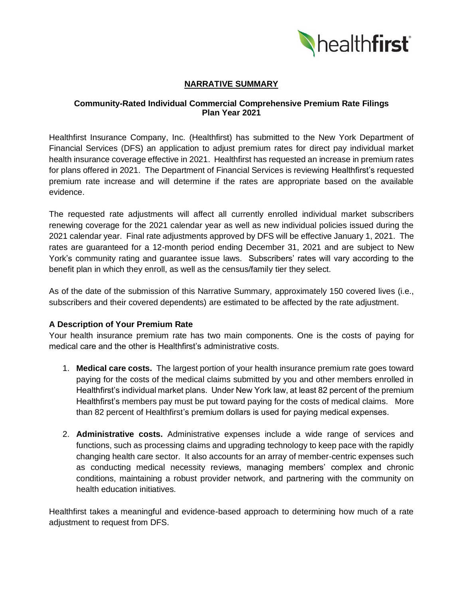

## **NARRATIVE SUMMARY**

### **Community-Rated Individual Commercial Comprehensive Premium Rate Filings Plan Year 2021**

Healthfirst Insurance Company, Inc. (Healthfirst) has submitted to the New York Department of Financial Services (DFS) an application to adjust premium rates for direct pay individual market health insurance coverage effective in 2021. Healthfirst has requested an increase in premium rates for plans offered in 2021. The Department of Financial Services is reviewing Healthfirst's requested premium rate increase and will determine if the rates are appropriate based on the available evidence.

The requested rate adjustments will affect all currently enrolled individual market subscribers renewing coverage for the 2021 calendar year as well as new individual policies issued during the 2021 calendar year. Final rate adjustments approved by DFS will be effective January 1, 2021. The rates are guaranteed for a 12-month period ending December 31, 2021 and are subject to New York's community rating and guarantee issue laws. Subscribers' rates will vary according to the benefit plan in which they enroll, as well as the census/family tier they select.

As of the date of the submission of this Narrative Summary, approximately 150 covered lives (i.e., subscribers and their covered dependents) are estimated to be affected by the rate adjustment.

### **A Description of Your Premium Rate**

Your health insurance premium rate has two main components. One is the costs of paying for medical care and the other is Healthfirst's administrative costs.

- 1. **Medical care costs.** The largest portion of your health insurance premium rate goes toward paying for the costs of the medical claims submitted by you and other members enrolled in Healthfirst's individual market plans. Under New York law, at least 82 percent of the premium Healthfirst's members pay must be put toward paying for the costs of medical claims. More than 82 percent of Healthfirst's premium dollars is used for paying medical expenses.
- 2. **Administrative costs.** Administrative expenses include a wide range of services and functions, such as processing claims and upgrading technology to keep pace with the rapidly changing health care sector. It also accounts for an array of member-centric expenses such as conducting medical necessity reviews, managing members' complex and chronic conditions, maintaining a robust provider network, and partnering with the community on health education initiatives.

Healthfirst takes a meaningful and evidence-based approach to determining how much of a rate adjustment to request from DFS.